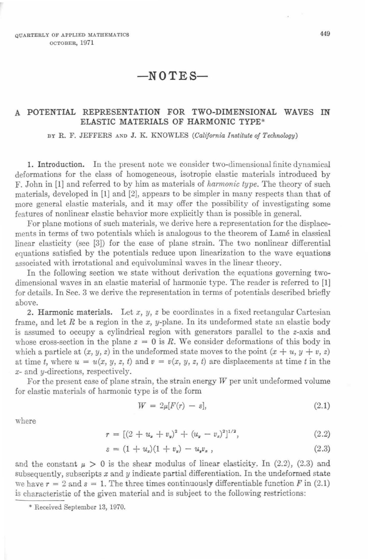## $-N0TES-$

## A POTENTIAL REPRESENTATION FOR TWO-DIMENSIONAL WAVES IN ELASTIC MATERIALS OF HARMONIC TYPE\*

BY R. F. JEFFERS AND J. K. KNOWLES *(California Institute of Technology)* 

1. Introduction. In the present note we consider two-dimensional finite dynamical deformations for the class of homogeneous, isotropic elastic materials introduced by F. John in [1] and referred to by him as materials of *harmonic type.* The theory of such materials, developed in [1] and [2], appears to be simpler in many respects than that of more general elastic materials, and it may offer the possibility of investigating some features of nonlinear elastic behavior more explicitly than is possible in general.

For plane motions of such materials, we derive here a representation for the displacements in terms of two potentials which is analogous to the theorem of Lame in classical linear elasticity (see [3]) for the case of plane strain. The two nonlinear differential equations satisfied by the potentials reduce upon linearization to the wave equations associated with irrotational and equivoluminai waves in the linear theory.

In the following section we state without derivation the equations governing twodimensional waves in an elastic material of harmonic type. The reader is referred to [1] for details. In Sec. 3 we derive the representation in terms of potentials described briefly above.

2. Harmonic materials. Let *x, y, z* be coordinates in a fixed rectangular Cartesian frame, and let *R* be a region in the *x,* y-plane. In its undeformed state an elastic body is assumed to occupy a cylindrical region with generators parallel to the z-axis and whose cross-section in the plane  $z = 0$  is R. We consider deformations of this body in which a particle at  $(x, y, z)$  in the undeformed state moves to the point  $(x + u, y + v, z)$ at time *t*, where  $u = u(x, y, z, t)$  and  $v = v(x, y, z, t)$  are displacements at time *t* in the *x-* and y-directions, respectively.

For the present case of plane strain, the strain energy *W* per unit undeformed volume for elastic materials of harmonic type is of the form

$$
W = 2\mu[F(r) - s], \tag{2.1}
$$

where

$$
r = [(2 + u_x + v_y)^2 + (u_y - v_z)^2]^{1/2}, \qquad (2.2)
$$

$$
s = (1 + u_x)(1 + v_y) - u_y v_x, \qquad (2.3)
$$

and the constant  $\mu > 0$  is the shear modulus of linear elasticity. In (2.2), (2.3) and subsequently, subscripts  $x$  and  $y$  indicate partial differentiation. In the undeformed state we have  $r = 2$  and  $s = 1$ . The three times continuously differentiable function F in (2.1) is characteristic of the given material and is subject to the following restrictions:

\* Received September 13, 1970.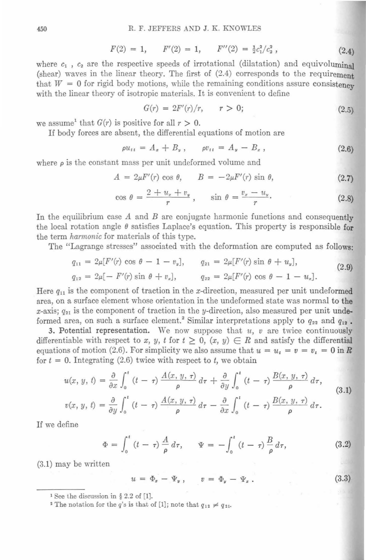$$
F(2) = 1, \qquad F'(2) = 1, \qquad F''(2) = \frac{1}{2}c_1^2/c_2^2 \,, \tag{2.4}
$$

where  $c_1$ ,  $c_2$  are the respective speeds of irrotational (dilatation) and equivoluminal (shear) wayes in the linear theory. The first of (2.4) corresponds to the requirement that  $W = 0$  for rigid body motions, while the remaining conditions assure consistency with the linear theory of isotropic materials. It is convenient to define

$$
G(r) = 2F'(r)/r, \qquad r > 0; \tag{2.5}
$$

we assume<sup>1</sup> that  $G(r)$  is positive for all  $r > 0$ .

If body forces are absent, the differential equations of motion are

$$
\rho u_{tt} = A_x + B_y, \qquad \rho v_{tt} = A_y - B_z, \qquad (2.6)
$$

where  $\rho$  is the constant mass per unit undeformed volume and

$$
A = 2\mu F'(r) \cos \theta, \qquad B = -2\mu F'(r) \sin \theta,
$$
 (2.7)

$$
\cos \theta = \frac{2 + u_z + v_y}{r}, \qquad \sin \theta = \frac{v_x - u_y}{r}.
$$
 (2.8)

In the equilibrium case  $A$  and  $B$  are conjugate harmonic functions and consequently the local rotation angle  $\theta$  satisfies Laplace's equation. This property is responsible for the term *harmonic* for materials of this type.

The "Lagrange stresses" associated with the deformation are computed as follows:

$$
q_{11} = 2\mu [F'(r) \cos \theta - 1 - v_y], \qquad q_{21} = 2\mu [F'(r) \sin \theta + u_y],
$$
  
\n
$$
q_{12} = 2\mu [-F'(r) \sin \theta + v_x], \qquad q_{22} = 2\mu [F'(r) \cos \theta - 1 - u_x].
$$
\n(2.9)

Here  $q_{11}$  is the component of traction in the x-direction, measured per unit undeformed area, on a surface element whose orientation in the undeformed state was normal to the x-axis;  $q_{21}$  is the component of traction in the y-direction, also measured per unit undeformed area, on such a surface element.<sup>2</sup> Similar interpretations apply to  $q_{22}$  and  $q_{12}$ .

3. Potential representation. We now suppose that  $u$ ,  $v$  are twice continuously differentiable with respect to *x*, *y*, *t* for  $t \geq 0$ ,  $(x, y) \in R$  and satisfy the differential equations of motion (2.6). For simplicity we also assume that  $u = u_t = v = v_t = 0$  in R for  $t = 0$ . Integrating (2.6) twice with respect to t, we obtain

$$
u(x, y, t) = \frac{\partial}{\partial x} \int_0^t (t - \tau) \frac{A(x, y, \tau)}{\rho} d\tau + \frac{\partial}{\partial y} \int_0^t (t - \tau) \frac{B(x, y, \tau)}{\rho} d\tau,
$$
  
\n
$$
v(x, y, t) = \frac{\partial}{\partial y} \int_0^t (t - \tau) \frac{A(x, y, \tau)}{\rho} d\tau - \frac{\partial}{\partial x} \int_0^t (t - \tau) \frac{B(x, y, \tau)}{\rho} d\tau.
$$
\n(3.1)

If we define

$$
\Phi = \int_0^t (t - \tau) \frac{A}{\rho} d\tau, \qquad \Psi = -\int_0^t (t - \tau) \frac{B}{\rho} d\tau,
$$
 (3.2)

(3.1) may be written

$$
u = \Phi_x - \Psi_y, \qquad v = \Phi_y - \Psi_z. \tag{3.3}
$$

<sup>&</sup>lt;sup>1</sup> See the discussion in § 2.2 of [1]. <sup>2</sup> The notation for the *q*'s is that of [1]; note that  $q_{12} \neq q_{21}$ .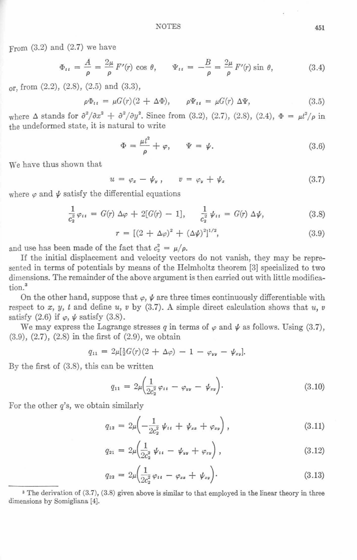From  $(3.2)$  and  $(2.7)$  we have

$$
\Phi_{tt} = \frac{A}{\rho} = \frac{2\mu}{\rho} F'(r) \cos \theta, \qquad \Psi_{tt} = -\frac{B}{\rho} = \frac{2\mu}{\rho} F'(r) \sin \theta,
$$
 (3.4)

or, from  $(2.2)$ ,  $(2.8)$ ,  $(2.5)$  and  $(3.3)$ ,

$$
\rho \Phi_{tt} = \mu G(r)(2 + \Delta \Phi), \qquad \rho \Psi_{tt} = \mu G(r) \Delta \Psi, \tag{3.5}
$$

where  $\Delta$  stands for  $\frac{\partial^2}{\partial x^2} + \frac{\partial^2}{\partial y^2}$ . Since from (3.2), (2.7), (2.8), (2.4),  $\Phi = \frac{\mu^2}{\rho}$  in the undeformed state, it is natural to write

$$
\Phi = \frac{\mu t^2}{\rho} + \varphi, \qquad \Psi = \psi. \tag{3.6}
$$

We have thus shown that

$$
u = \varphi_x - \psi_y, \qquad v = \varphi_y + \psi_z \tag{3.7}
$$

where  $\varphi$  and  $\psi$  satisfy the differential equations

$$
\frac{1}{c_2^2} \varphi_{tt} = G(r) \Delta \varphi + 2[G(r) - 1], \quad \frac{1}{c_2^2} \psi_{tt} = G(r) \Delta \psi, \tag{3.8}
$$

$$
r = [(2 + \Delta \varphi)^2 + (\Delta \psi)^2]^{1/2}, \tag{3.9}
$$

and use has been made of the fact that  $c_2^2 = \mu/\rho$ .

If the initial displacement and velocity vectors do not vanish, they may be represented in terms of potentials by means of the Helmholtz theorem [3] specialized to two dimensions. The remainder of the above argument is then carried out with little modification.<sup>3</sup>

On the other hand, suppose that  $\varphi$ ,  $\psi$  are three times continuously differentiable with respect to x, y, t and define  $u, v$  by (3.7). A simple direct calculation shows that  $u, v$ satisfy  $(2.6)$  if  $\varphi$ ,  $\psi$  satisfy  $(3.8)$ .

We may express the Lagrange stresses q in terms of  $\varphi$  and  $\psi$  as follows. Using (3.7), (3.9), (2.7), (2.8) in the first of (2.9), we obtain

$$
q_{11} = 2\mu[\frac{1}{2}G(r)(2+\Delta\varphi) - 1 - \varphi_{yy} - \psi_{xy}].
$$

By the first of (3.8), this can be written

$$
q_{11} = 2\mu \left(\frac{1}{2c_2^2} \varphi_{tt} - \varphi_{yy} - \psi_{xy}\right).
$$
 (3.10)

For the other *q's,* we obtain similarly

$$
q_{12} = 2\mu \left( -\frac{1}{2c_2^2} \psi_{tt} + \psi_{zz} + \varphi_{zy} \right), \tag{3.11}
$$

$$
q_{21} = 2\mu \left(\frac{1}{2c_2^2} \psi_{tt} - \psi_{yy} + \varphi_{zy}\right), \qquad (3.12)
$$

$$
q_{22} = 2\mu \left(\frac{1}{2c_2^2} \varphi_{tt} - \varphi_{zz} + \psi_{xy}\right).
$$
 (3.13)

a The derivation of (3.7), (3.8) given above is similar to that employed in the linear theory in three dimensions by Somigliana [4).